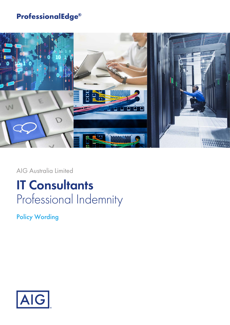## **ProfessionalEdge®**



AIG Australia Limited

# **IT Consultants** Professional Indemnity

Policy Wording

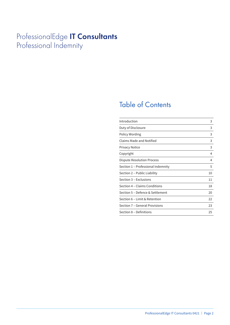## ProfessionalEdge **IT Consultants** Professional Indemnity

## Table of Contents

| Introduction                       | 3  |
|------------------------------------|----|
| Duty of Disclosure                 | 3  |
| Policy Wording                     | 3  |
| Claims Made and Notified           | 3  |
| <b>Privacy Notice</b>              | 3  |
| Copyright                          | 4  |
| Dispute Resolution Process         | 4  |
| Section 1 - Professional Indemnity | 5  |
| Section 2 - Public Liability       | 10 |
| Section 3 – Exclusions             | 11 |
| Section 4 – Claims Conditions      | 18 |
| Section 5 – Defence & Settlement   | 20 |
| Section 6 - Limit & Retention      | 22 |
| Section 7 – General Provisions     | 23 |
| Section 8 – Definitions            | 25 |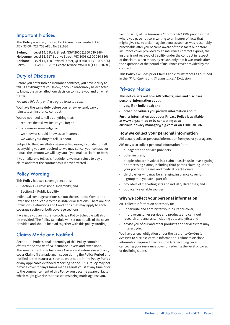### Important Notices

This **Policy** is issued/insured by AIG Australia Limited (AIG), ABN 93 004 727 753 AFSL No 381686

**Sydney:** Level 19, 2 Park Street, NSW 2000 (1300 030 886) **Melbourne:** Level 13, 717 Bourke Street, VIC 3008 (1300 030 886) **Brisbane:** Level 11, 120 Edward Street, QLD 4000 (1300 030 886) **Perth:** Level 11, 108 St. George Terrace, WA 6000 (1300 030 886)

### Duty of Disclosure

Before you enter into an insurance contract, you have a duty to tell us anything that you know, or could reasonably be expected to know, that may affect our decision to insure you and on what terms.

*You have this duty until we agree to insure you.*

You have the same duty before you renew, extend, vary or reinstate an insurance contract.

You do not need to tell us anything that:

- reduces the risk we insure you for; or
- is common knowledge; or
- we know or should know as an insurer; or
- we waive your duty to tell us about.

Subject to the Cancellation General Provision, if you do not tell us anything you are required to, we may cancel your contract or reduce the amount we will pay you if you make a claim, or both.

If your failure to tell us is fraudulent, we may refuse to pay a claim and treat the contract as if it never existed.

## Policy Wording

This **Policy** has two coverage sections:

- Section 1 Professional Indemnity; and
- Section 2 Public Liability.

Individual coverage sections set out the Insurance Covers and Extensions applicable to those individual sections. There are also Exclusions, Definitions and Conditions that may apply to each coverage section or both coverage sections.

If we issue you an insurance policy, a Policy Schedule will also be provided. The Policy Schedule will set out details of the cover provided and should be read together with this policy wording.

## Claims Made and Notified

Section 1 – Professional Indemnity of this **Policy** contains *claims-made and notified* Insurance Covers and extensions. This means that those Insurance Covers and extensions will only cover **Claims** first made against you during the **Policy Period** and notified to the **Insurer** as soon as practicable in the **Policy Period** or any applicable extended reporting period. This **Policy** may not provide cover for any **Claims** made against you if at any time prior to the commencement of this **Policy** you became aware of facts which might give rise to those claims being made against you.

Section 40(3) of the *Insurance Contracts Act 1984* provides that where you gave notice in writing to an insurer of facts that might give rise to a claim against you as soon as was reasonably practicable after you became aware of those facts but before insurance cover provided by an insurance contract expires, the insurer is not relieved of liability under the contract in respect of the claim, when made, by reason only that it was made after the expiration of the period of insurance cover provided by the contract.

This **Policy** excludes prior **Claims** and circumstances as outlined in the *"Prior Claims and Circumstances"* Exclusion.

## **Privacy Notice**

**This notice sets out how AIG collects, uses and discloses personal information about:**

- **you, if an individual; and**
- **other individuals you provide information about.**

**Further information about our Privacy Policy is available at www.aig.com.au or by contacting us at australia.privacy.manager@aig.com or on 1300 030 886.**

#### **How we collect your personal information**

AIG usually collects personal information from you or your agents.

- AIG may also collect personal information from:
- our agents and service providers;
- other insurers:
- people who are involved in a claim or assist us in investigating or processing claims, including third parties claiming under your policy, witnesses and medical practitioners;
- third parties who may be arranging insurance cover for a group that you are a part of;
- providers of marketing lists and industry databases; and
- publically available sources.

#### **Why we collect your personal information**

AIG collects information necessary to:

- underwrite and administer your insurance cover;
- improve customer service and products and carry out research and analysis, including data analytics; and
- advise you of our and other products and services that may interest you.

You have a legal obligation under the *Insurance Contracts Act 1984* to disclose certain information. Failure to disclose information required may result in AIG declining cover, cancelling your insurance cover or reducing the level of cover, or declining claims.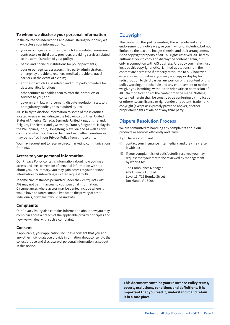#### **To whom we disclose your personal information**

In the course of underwriting and administering your policy we may disclose your information to:

- your or our agents, entities to which AIG is related, reinsurers, contractors or third party providers providing services related to the administration of your policy;
- banks and financial institutions for policy payments;
- your or our agents, assessors, third party administrators, emergency providers, retailers, medical providers, travel carriers, in the event of a claim;
- entities to which AIG is related and third party providers for data analytics functions;
- other entities to enable them to offer their products or services to you; and
- government, law enforcement, dispute resolution, statutory or regulatory bodies, or as required by law.

AIG is likely to disclose information to some of these entities located overseas, including in the following countries: United States of America, Canada, Bermuda, United Kingdom, Ireland, Belgium, The Netherlands, Germany, France, Singapore, Malaysia, the Philippines, India, Hong Kong, New Zealand as well as any country in which you have a claim and such other countries as may be notified in our Privacy Policy from time to time.

You may request not to receive direct marketing communications from AIG.

#### **Access to your personal information**

Our Privacy Policy contains information about how you may access and seek correction of personal information we hold about you. In summary, you may gain access to your personal information by submitting a written request to AIG.

In some circumstances permitted under the *Privacy Act 1988*, AIG may not permit access to your personal information. Circumstances where access may be denied include where it would have an unreasonable impact on the privacy of other individuals, or where it would be unlawful.

#### **Complaints**

Our Privacy Policy also contains information about how you may complain about a breach of the applicable privacy principles and how we will deal with such a complaint.

#### **Consent**

If applicable, your application includes a consent that you and any other individuals you provide information about consent to the collection, use and disclosure of personal information as set out in this notice.

## Copyright

The content of this policy wording, the schedule and any endorsement or notice we give you in writing, including but not limited to the text and images therein, and their arrangement, is the copyright property of AIG. All rights reserved. AIG hereby authorises you to copy and display the content herein, but only in connection with AIG business. Any copy you make must include this copyright notice. Limited quotations from the content are permitted if properly attributed to AIG; however, except as set forth above, you may not copy or display for redistribution to third parties any portion of the content of this policy wording, the schedule and any endorsement or notice we give you in writing, without the prior written permission of AIG. No modifications of the content may be made. Nothing contained herein shall be construed as conferring by implication or otherwise any license or right under any patent, trademark, copyright (except as expressly provided above), or other proprietary rights of AIG or of any third party.

### Dispute Resolution Process

We are committed to handling any complaints about our products or services efficiently and fairly.

If you have a complaint:

- (i) contact your insurance intermediary and they may raise it with us;
- (ii) if your complaint is not satisfactorily resolved you may request that your matter be reviewed by management by writing to:

The Compliance Manager AIG Australia Limited Level 13, 717 Bourke Street Docklands Vic 3008

**This document contains your Insurance Policy terms, covers, exclusions, conditions and definitions. It is important that you read it, understand it and retain it in a safe place.**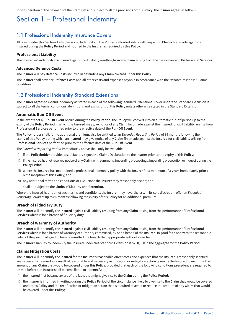In consideration of the payment of the **Premium** and subject to all the provisions of this **Policy**, the **Insurer** agrees as follows:

## Section 1 – Profesional Indemnity

### 1.1 Professional Indemnity Insurance Covers

All cover under this Section 1 – Professional Indemnity of the **Policy** is afforded solely with respect to **Claims** first made against an **Insured** during the **Policy Period** and notified to the **Insurer** as required by this **Policy**.

#### **Professional Liability**

The **Insurer** will indemnify the **Insured** against civil liability resulting from any **Claim** arising from the performance of **Professional Services**.

#### **Advanced Defence Costs**

The **Insurer** will pay **Defence Costs** incurred in defending any **Claim** covered under this **Policy**.

The **Insurer** shall advance **Defence Costs** and all other costs and expenses payable in accordance with the *"Insurer Response"* Claims Condition.

### 1.2 Professional Indemnity Standard Extensions

The **Insurer** agrees to extend indemnity as stated in each of the following Standard Extensions. Cover under the Standard Extension is subject to all the terms, conditions, definitions and exclusions of this **Policy** unless otherwise stated in the Standard Extension.

#### **Automatic Run-Off Event**

In the event that a **Run-Off Event** occurs during the **Policy Period**, the **Policy** will convert into an automatic run-off period up to the expiry of the **Policy Period** in which the **Insured** may give notice of any **Claim** first made against the **Insured** for civil liability arising from **Professional Services** performed prior to the effective date of the **Run-Off Event**.

The **Policyholder** shall, for no additional premium, also be entitled to an *Extended Reporting Period* of 84 months following the expiry of this **Policy** during which an **Insured** may give notice of any **Claim** first made against the **Insured** for civil liability arising from **Professional Services** performed prior to the effective date of the **Run-Off Event**.

The *Extended Reporting Period* immediately above shall only be available:

- (i) if the **Policyholder** provides a satisfactory signed No Claims Declaration to the **Insurer** prior to the expiry of this **Policy**;
- (ii) if the **Insured** has not received notice of any **Claim**, writ, summons, impending proceedings, impending prosecution or inquest during the **Policy Period**;
- (iii) where the **Insured** has maintained a professional indemnity policy with the **Insurer** for a minimum of 3 years immediately prior t o the inception of this **Policy**; and
- (iv) any additional terms and conditions or Exclusions the **Insurer** may reasonably decide; and

shall be subject to the **Limits of Liability** and **Retention**.

Where the **Insured** has not met such terms and conditions, the **Insurer** may nevertheless, in its sole discretion, offer an *Extended Reporting Period* of up to 84 months following the expiry of this **Policy** for an additional premium.

#### **Breach of Fiduciary Duty**

The **Insurer** will indemnify the **Insured** against civil liability resulting from any **Claim** arising from the performance of **Professional Services** which is for a breach of fiduciary duty.

#### **Breach of Warranty of Authority**

The **Insurer** will indemnify the **Insured** against civil liability resulting from any **Claim** arising from the performance of **Professional Services** which is for a breach of warranty of authority committed, by or on behalf of the **Insured**, in good faith and with the reasonable belief of the person alleged to have committed the breach that appropriate authority was held.

The **Insurer's** liability to indemnify the **Insured** under this Standard Extension is \$250,000 in the aggregate for the **Policy Period**.

#### **Claims Mitigation Costs**

The **Insurer** will indemnify the **Insured** for the **Insured's** reasonable direct costs and expenses that the **Insurer** is reasonably satisfied are necessarily incurred as a result of reasonable and necessary rectification or mitigation action taken by the **Insured** to minimise the amount of any **Claim** that would be covered under this **Policy**, provided that each of the following conditions precedent are required to be met before the **Insurer** shall become liable to indemnify:

- (i) the **Insured** first became aware of the facts that might give rise to the **Claim** during the **Policy Period**;
- (ii) the **Insurer** is informed in writing during the **Policy Period** of the circumstance likely to give rise to the **Claim** that would be covered under this **Policy** and the rectification or mitigation action that is required to avoid or reduce the amount of any **Claim** that would be covered under this **Policy**;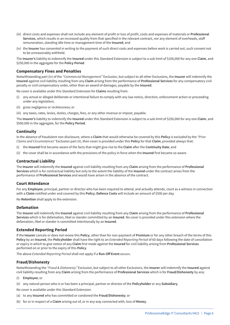- (iii) direct costs and expenses shall not include any element of profit or loss of profit, costs and expenses of materials or **Professional Services**, which results in an increased quality from that specified in the relevant contract, nor any element of overheads, staff remuneration, standing idle time or management time of the **Insured**; and
- (iv) the **Insurer** has consented in writing to the payment of such direct costs and expenses before work is carried out, such consent not to be unreasonably withheld.

The **Insurer's** liability to indemnify the **Insured** under this Standard Extension is subject to a sub-limit of \$100,000 for any one **Claim**, and \$250,000 in the aggregate for the **Policy Period**.

#### **Compensatory Fines and Penalties**

Notwithstanding part (iv) of the *"Commercial Management"* Exclusion, but subject to all other Exclusions, the **Insurer** will indemnify the **Insured** against civil liability resulting from any **Claim** arising from the performance of **Professional Services** for any compensatory civil penalty or civil compensatory order, other than an award of damages, payable by the **Insured**.

No cover is available under this Standard Extension for **Claims** resulting from:

- any actual or alleged deliberate or intentional failure to comply with any law notice, direction, enforcement action or proceeding under any legislation;
- (ii) gross negligence or recklessness; or
- (iii) any taxes, rates, levies, duties, charges, fees, or any other revenue or impost, payable.

The **Insurer's** liability to indemnify the **Insured** under this Standard Extension is subject to a sub-limit of \$250,000 for any one **Claim**, and \$500,000 in the aggregate, for the **Policy Period**.

#### **Continuity**

In the absence of fraudulent non-disclosure, where a **Claim** that would otherwise be covered by this **Policy** is excluded by the *"Prior Claims and Circumstances"* Exclusion part (ii), then cover is provided under this **Policy** for that **Claim**, provided always that:

- (i) the **Insured** first became aware of the facts that might give rise to the **Claim** after the **Continuity Date**; and
- (ii) the cover shall be in accordance with the provisions of the policy in force when the **Insured** first became so aware.

#### **Contractual Liability**

The **Insurer** will indemnify the **Insured** against civil liability resulting from any **Claim** arising from the performance of **Professional Services** which is for contractual liability but only to the extent the liability of the **Insured** under the contract arises from the performance of **Professional Services** and would have arisen in the absence of the contract.

#### **Court Attendance**

For any **Employee**, principal, partner or director who has been required to attend, and actually attends, court as a witness in connection with a **Claim** notified under and covered by this **Policy**, **Defence Costs** will include an amount of \$500 per day.

No **Retention** shall apply to the extension.

#### **Defamation**

The **Insurer** will indemnify the **Insured** against civil liability resulting from any **Claim** arising from the performance of **Professional Services** which is for defamation, libel or slander committed by an **Insured**. No cover is provided under this extension where the defamation, libel or slander is committed intentionally by an **Insured**.

#### **Extended Reporting Period**

If the **Insurer** cancels or does not renew this **Policy**, other than for non-payment of **Premium** or for any other breach of the terms of this **Policy** by an **Insured**, the **Policyholder** shall have the right to an *Extended Reporting Period* of 60 days following the date of cancellation or expiry in which to give notice of any **Claim** first made against the **Insured** for civil liability arising from **Professional Services** performed on or prior to the expiry of this **Policy**.

The above *Extended Reporting Period* shall not apply if a **Run-Off Event** occurs.

#### **Fraud/Dishonesty**

Notwithstanding the *"Fraud & Dishonesty"* Exclusion, but subject to all other Exclusions, the **Insurer** will indemnify the **Insured** against civil liability resulting from any **Claim** arising from the performance of **Professional Services** which is for **Fraud/Dishonesty** by any:

- (i) **Employee**; or
- (ii) any natural person who is or has been a principal, partner or director of the **Policyholder** or any **Subsidiary**.
- No cover is available under this Standard Extension:
- (a) to any **Insured** who has committed or condoned the **Fraud/Dishonesty**; or
- (b) for or in respect of a **Claim** arising out of, or in any way connected with, loss of **Money**.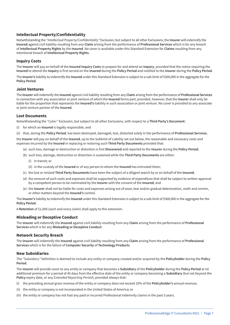#### **Intellectual Property/Confidentiality**

Notwithstanding the *"Intellectual Property/Confidentiality"* Exclusion, but subject to all other Exclusions, the **Insurer** will indemnify the **Insured** against civil liability resulting from any **Claim** arising from the performance of **Professional Services** which is for any breach of **Intellectual Property Rights** by the **Insured**. No cover is available under this Standard Extension for **Claims** resulting from any intentional breach of **Intellectual Property Rights**.

#### **Inquiry Costs**

The **Insurer** will pay on behalf of the **Insured Inquiry Costs** to prepare for and attend an **Inquiry**, provided that the notice requiring the **Insured** to attend the **Inquiry** is first served on the **Insured** during the **Policy Period** and notified to the **Insurer** during the **Policy Period**.

The **Insurer's** liability to indemnify the **Insured** under this Standard Extension is subject to a sub-limit of \$500,000 in the aggregate for the **Policy Period**.

#### **Joint Ventures**

The **Insurer** will indemnify the **Insured** against civil liability resulting from any **Claim** arising from the performance of **Professional Services** in connection with any association or joint venture of which the **Insured** forms part; provided, however, that the **Insurer** shall only be liable for the proportion that represents the **Insured's** liability in such association or joint venture. No cover is provided to any associate or joint venture partner of the **Insured**.

#### **Lost Documents**

Notwithstanding the *"Cyber"* Exclusion, but subject to all other Exclusions, with respect to a **Third Party's Document**:

- (i) for which an **Insured** is legally responsible, and
- (ii) that, during the **Policy Period**, has been destroyed, damaged, lost, distorted solely in the performance of **Professional Services**,

the **Insurer** will pay on behalf of the **Insured**, up to the Sublimit of Liability set out below, the reasonable and necessary costs and expenses incurred by the **Insured** in replacing or restoring such **Third Party Documents** provided that:

- (a) such loss, damage or destruction or distortion is first **Discovered** and reported to the **Insurer** during the **Policy Period**;
- (b) such loss, damage, destruction or distortion is sustained while the **Third Party Documents** are either:
	- (i) in transit; or
	- (ii) in the custody of the **Insured** or of any person to whom the **Insured** has entrusted them;
- (c) the lost or mislaid **Third Party Documents** have been the subject of a diligent search by or on behalf of the **Insured**;
- (d) the amount of such costs and expenses shall be supported by evidence of expenditure that shall be subject to written approval by a competent person to be nominated by the **Insurer** with the consent of the **Insured**; and
- (e) the **Insurer** shall not be liable for costs and expenses arising out of wear, tear and/or gradual deterioration, moth and vermin, or other matters beyond the **Insured's** control.

The **Insurer's** liability to indemnify the **Insured** under this Standard Extension is subject to a sub-limit of \$500,000 in the aggregate for the **Policy Period**.

A **Retention** of \$1,000 (each and every claim) shall apply to this extension.

#### **Misleading or Deceptive Conduct**

The **Insurer** will indemnify the **Insured** against civil liability resulting from any **Claim** arising from the performance of **Professional Services** which is for any **Misleading or Deceptive Conduct**.

#### **Network Security Breach**

The **Insurer** will indemnify the **Insured** against civil liability resulting from any **Claim** arising from the performance of **Professional Services** which is for the failure of **Computer Security** of **Technology Products**.

#### **New Subsidiaries**

The *"Subsidiary"* Definition is deemed to include any entity or company created and/or acquired by the **Policyholder** during the **Policy Period**.

The **Insurer** will provide cover to any entity or company that becomes a **Subsidiary** of the **Policyholder** during the **Policy Period** at nil additional premium for a period of 45 days from the effective date of the entity or company becoming a **Subsidiary** (but not beyond the **Policy** expiry date, or any *Extended Reporting Period*), provided always that:

- (i) the preceding annual gross revenue of the entity or company does not exceed 10% of the **Policyholder's** annual revenue;
- (ii) the entity or company is not incorporated in the United States of America; or
- (iii) the entity or company has not had any paid or incurred Professional Indemnity claims in the past 5 years.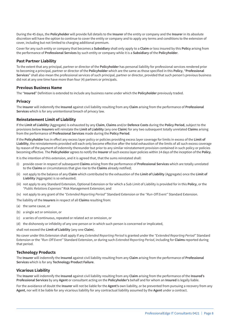During the 45 days, the **Policyholder** will provide full details to the **Insurer** of the entity or company and the **Insurer** in its absolute discretion will have the option to continue to cover the entity or company and to apply any terms and conditions to the extension of cover, including but not limited to charging additional premium.

Cover for any such entity or company that becomes a **Subsidiary** shall only apply to a **Claim** or loss insured by this **Policy** arising from the performance of **Professional Services** by such entity or company while it is a **Subsidiary** of the **Policyholder**.

#### **Past Partner Liability**

To the extent that any principal, partner or director of the **Policyholder** has personal liability for professional services rendered prior to becoming a principal, partner or director of the **Policyholder** which are the same as those specified in this **Policy**, "**Professional Services**" shall also mean the professional services of such principal, partner or director, provided that such person's previous business did not at any one time have more than four (4) partners or principals.

#### **Previous Business Name**

The "**Insured**" Definition is extended to include any business name under which the **Policyholder** previously traded.

#### **Privacy**

The **Insurer** will indemnify the **Insured** against civil liability resulting from any **Claim** arising from the performance of **Professional Services** which is for any unintentional breach of privacy law.

#### **Reinstatement Limit of Liability**

If the **Limit of Liability** (Aggregate) is exhausted by any **Claim**, **Claims** and/or **Defence Costs** during the **Policy Period**, subject to the provisions below **Insurers** will reinstate the **Limit of Liability** (any one **Claim**) for any two subsequent totally unrelated **Claims** arising from the performance of **Professional Services** made during the **Policy Period**.

If the **Policyholder** has in effect any excess layer policy or policies providing excess layer coverage for limits in excess of the **Limit of Liability**, the reinstatements provided will each only become effective after the total exhaustion of the limits of all such excess coverage by reason of the payment of indemnity thereunder but prior to any similar reinstatement provision contained in such policy or policies becoming effective. The **Policyholder** agrees to notify the **Insurer** of such excess layer policies within 14 days of the inception of the **Policy**.

It is the intention of this extension, and it is agreed that, that the sums reinstated shall:

- (i) provide cover in respect of subsequent **Claims** arising from the performance of **Professional Services** which are totally unrelated to the **Claims** or circumstances that give rise to the **Claims** already notified;
- (ii) not apply to the balance of any **Claim** which contributed to the exhaustion of the **Limit of Liability** (Aggregate) once the **Limit of Liability** (Aggregate) is so exhausted;
- (iii) not apply to any Standard Extension, Optional Extension or for which a Sub Limit of Liability is provided for in this **Policy**, or the *"Public Relations Expenses"* Risk Management Extension; and
- (iv) not apply to any grant of the *"Extended Reporting Period"* Standard Extension or the *"Run-Off Event"* Standard Extension.

The liability of the **Insurers** in respect of all **Claims** resulting from:

- (a) the same cause, or
- (b) a single act or omission, or
- (c) a series of continuous, repeated or related act or omission, or
- (d) the dishonesty or infidelity of any one person or in which such person is concerned or implicated,

#### shall not exceed the **Limit of Liability** (any one **Claim**).

No cover under this Extension shall apply if any *Extended Reporting Period* is granted under the *"Extended Reporting Period"* Standard Extension or the *"Run-Off Event"* Standard Extension, or during such *Extended Reporting Period*, including for **Claims** reported during that period.

#### **Technology Products**

The **Insurer** will indemnify the **Insured** against civil liability resulting from any **Claim** arising from the performance of **Professional Services** which is for any **Technology Product Failure**.

#### **Vicarious Liability**

The **Insurer** will indemnify the **Insured** against civil liability resulting from any **Claim** arising from the performance of the **Insured's Professional Services** by any **Agent** or consultant acting on the **Policyholder's** behalf and for whom an **Insured** is legally liable.

For the avoidance of doubt the **Insurer** will not be liable for the **Agent's** own liability, or be prevented from pursuing a recovery from any **Agent**, nor will it be liable for any vicarious liability for any contractual liability assumed by the **Agent** under a contract.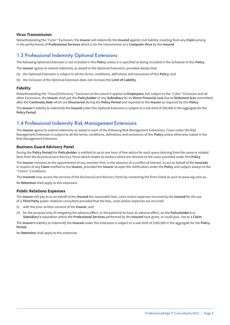#### **Virus Transmission**

Notwithstanding the *"Cyber"* Exclusion, the **Insurer** will indemnify the **Insured** against civil liability resulting from any **Claim** arising in the performance of **Professional Services** which is for the transmission of a **Computer Virus** by the **Insured**.

### 1.3 Professional Indemnity Optional Extensions

The following Optional Extension is not included in this **Policy** unless it is specified as being included in the Schedule to this **Policy**.

The **Insurer** agrees to extend indemnity as stated in the Optional Extension, provided always that:

- (a) the Optional Extension is subject to all the terms, conditions, definitions and exclusions of this **Policy**; and
- (b) the inclusion of the Optional Extension does not increase the **Limit of Liability**.

#### **Fidelity**

Notwithstanding the *"Fraud/Dishonesty"* Exclusion to the extent it applies to **Employees**, but subject to the *"Cyber"* Exclusion and all other Exclusions, the **Insurer** shall pay the **Policyholder** or any **Subsidiary** for its **Direct Financial Loss** due to **Dishonest Acts** committed after the **Continuity Date** which are **Discovered** during the **Policy Period** and reported to the **Insurer** as required by this **Policy**.

The **Insurer**'s liability to indemnify the **Insured** under this Optional Extension is subject to a sub-limit of \$50,000 in the aggregate for the **Policy Period**.

### 1.4 Professional Indemnity Risk Management Extensions

The **Insurer** agrees to extend indemnity as stated in each of the following Risk Management Extensions. Cover under the Risk Management Extension is subject to all the terms, conditions, definitions and exclusions of this **Policy** unless otherwise stated in the Risk Management Extension.

#### **Business Guard Advisory Panel**

During the **Policy Period** the **Policyholder** is entitled to up to one hour of free advice for each query deriving from the same or related facts from the *BusinessGuard Advisory Panel* which relates to matters which are relevant to the cover provided under this **Policy**.

The **Insurer** consents to the appointment of any member firm, in the absence of a conflict of interest, to act on behalf of the **Insureds** in respect of any **Claim** notified to the **Insurer**, provided the **Insurer** accepts the notification under the **Policy** and subject always to the "*Claims*" Conditions.

The **Insureds** may access the services of the *BusinessGuard Advisory Panel* by contacting the firms listed as such at www.aig.com.au.

No **Retention** shall apply to this extension.

#### **Public Relations Expenses**

The **Insurer** will pay to or on behalf of the **Insured** the reasonable fees, costs and/or expenses incurred by the **Insured** for the use of a **Third Party** public relations consultant provided that the fees, costs and/or expenses are incurred:

- (i) with the prior written consent of the **Insurer**; and
- (ii) for the purpose only of mitigating the adverse effect, or the potential to have an adverse effect, on the **Policyholder's** or **Subsidiary's** reputation where the **Professional Services** performed by the **Insured** have given, or could give, rise to a **Claim**.

The **Insurer's** liability to indemnify the **Insured** under this Extension is subject to a sub-limit of \$100,000 in the aggregate for the **Policy Period**.

No **Retention** shall apply to this extension.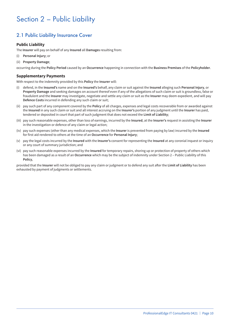## Section 2 – Public Liability

## 2.1 Public Liability Insurance Cover

#### **Public Liability**

The **Insurer** will pay on behalf of any **Insured** all **Damages** resulting from:

- (i) **Personal Injury**; or
- (ii) **Property Damage**;

occurring during the **Policy Period** caused by an **Occurrence** happening in connection with the **Business Premises** of the **Policyholder**.

#### **Supplementary Payments**

With respect to the indemnity provided by this **Policy** the **Insurer** will:

- (i) defend, in the **Insured's** name and on the **Insured's** behalf, any claim or suit against the **Insured** alleging such **Personal Injury**, or **Property Damage** and seeking damages on account thereof even if any of the allegations of such claim or suit is groundless, false or fraudulent and the **Insurer** may investigate, negotiate and settle any claim or suit as the **Insurer** may deem expedient, and will pay **Defence Costs** incurred in defending any such claim or suit;
- (ii) pay such part of any component covered by the **Policy** of all charges, expenses and legal costs recoverable from or awarded against the **Insured** in any such claim or suit and all interest accruing on the **Insurer's** portion of any judgment until the **Insurer** has paid, tendered or deposited in court that part of such judgment that does not exceed the **Limit of Liability**;
- (iii) pay such reasonable expenses, other than loss of earnings, incurred by the **Insured**, at the **Insurer's** request in assisting the **Insurer** in the investigation or defence of any claim or legal action;
- (iv) pay such expenses (other than any medical expenses, which the **Insurer** is prevented from paying by law) incurred by the **Insured** for first aid rendered to others at the time of an **Occurrence** for **Personal Injury**;
- (v) pay the legal costs incurred by the **Insured** with the **Insurer's** consent for representing the **Insured** at any coronial inquest or inquiry or any court of summary jurisdiction; and
- (vi) pay such reasonable expenses incurred by the **Insured** for temporary repairs, shoring up or protection of property of others which has been damaged as a result of an **Occurrence** which may be the subject of indemnity under Section 2 – Public Liability of this **Policy**,

provided that the **Insurer** will not be obliged to pay any claim or judgment or to defend any suit after the **Limit of Liability** has been exhausted by payment of judgments or settlements.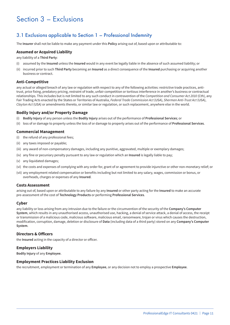## Section 3 – Exclusions

## 3.1 Exclusions applicable to Section 1 – Professional Indemnity

The **Insurer** shall not be liable to make any payment under this **Policy** arising out of, based upon or attributable to:

#### **Assumed or Acquired Liability**

any liability of a **Third Party**:

- (i) assumed by the **Insured** unless the **Insured** would in any event be legally liable in the absence of such assumed liability; or
- (ii) incurred prior to such **Third Party** becoming an **Insured** as a direct consequence of the **Insured** purchasing or acquiring another business or contract.

#### **Anti-Competitive**

any actual or alleged breach of any law or regulation with respect to any of the following activities: restrictive trade practices, antitrust, price fixing, predatory pricing, restraint of trade, unfair competition or tortious interference in another's business or contractual relationships. This includes but is not limited to any such conduct in contravention of the *Competition and Consumer Act 2010* (Cth), any Fair Trading Acts enacted by the States or Territories of Australia, *Federal Trade Commission Act* (USA), *Sherman Anti-Trust Act* (USA), *Clayton Act* (USA) or amendments thereto, or similar law or regulation, or such replacement, anywhere else in the world.

#### **Bodily Injury and/or Property Damage**

- (i) **Bodily Injury** of any person unless the **Bodily Injury** arises out of the performance of **Professional Services**; or
- (ii) loss of or damage to property unless the loss of or damage to property arises out of the performance of **Professional Services**.

#### **Commercial Management**

- (i) the refund of any professional fees;
- (ii) any taxes imposed or payable;
- (iii) any award of non-compensatory damages, including any punitive, aggravated, multiple or exemplary damages;
- (iv) any fine or pecuniary penalty pursuant to any law or regulation which an **Insured** is legally liable to pay;
- (v) any liquidated damages;
- (vi) the costs and expenses of complying with any order for, grant of or agreement to provide injunctive or other non-monetary relief; or
- (vii) any employment related compensation or benefits including but not limited to any salary, wages, commission or bonus, or overheads, charges or expenses of any **Insured**.

#### **Costs Assessment**

arising out of, based upon or attributable to any failure by any **Insured** or other party acting for the **Insured** to make an accurate pre-assessment of the cost of **Technology Products** or performing **Professional Services**.

#### **Cyber**

any liability or loss arising from any intrusion due to the failure or the circumvention of the security of the **Company's Computer System**, which results in any unauthorised access, unauthorised use, hacking, a denial of service attack, a denial of access, the receipt or transmission of a malicious code, malicious software, malicious email, ransomware, trojan or virus which causes the destruction, modification, corruption, damage, deletion or disclosure of **Data** (including data of a third party) stored on any **Company's Computer System**.

#### **Directors & Officers**

the **Insured** acting in the capacity of a director or officer.

#### **Employers Liability**

**Bodily Injury** of any **Employee**.

#### **Employment Practices Liability Exclusion**

the recruitment, employment or termination of any **Employee**, or any decision not to employ a prospective **Employee**.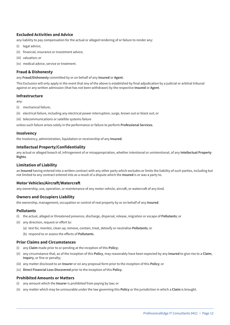#### **Excluded Activities and Advice**

any liability to pay compensation for the actual or alleged rendering of or failure to render any:

- (i) legal advice;
- (ii) financial, insurance or investment advice;
- (iii) valuation; or
- (iv) medical advice, service or treatment.

#### **Fraud & Dishonesty**

any **Fraud/Dishonesty** committed by or on behalf of any **Insured** or **Agent**.

This Exclusion will only apply in the event that any of the above is established by final adjudication by a judicial or arbitral tribunal against or any written admission (that has not been withdrawn) by the respective **Insured** or **Agent**.

#### **Infrastructure**

any:

- (i) mechanical failure;
- (ii) electrical failure, including any electrical power interruption, surge, brown out or black out; or
- (iii) telecommunications or satellite systems failure

unless such failure arises solely in the performance or failure to perform **Professional Services**.

#### **Insolvency**

the insolvency, administration, liquidation or receivership of any **Insured**.

#### **Intellectual Property/Confidentiality**

any actual or alleged breach of, infringement of or misappropriation, whether intentional or unintentional, of any **Intellectual Property Rights**.

#### **Limitation of Liability**

an **Insured** having entered into a written contract with any other party which excludes or limits the liability of such parties, including but not limited to any contract entered into as a result of a dispute which the **Insured** is or was a party to.

#### **Motor Vehicles/Aircraft/Watercraft**

any ownership, use, operation, or maintenance of any motor vehicle, aircraft, or watercraft of any kind.

#### **Owners and Occupiers Liability**

the ownership, management, occupation or control of real property by or on behalf of any **Insured**.

#### **Pollutants**

- (i) the actual, alleged or threatened presence, discharge, dispersal, release, migration or escape of **Pollutants**; or
- (ii) any direction, request or effort to:
	- (a) test for, monitor, clean up, remove, contain, treat, detoxify or neutralise **Pollutants**; or
	- (b) respond to or assess the effects of **Pollutants**.

#### **Prior Claims and Circumstances**

- (i) any **Claim** made prior to or pending at the inception of this **Policy**;
- (ii) any circumstance that, as of the inception of this **Policy**, may reasonably have been expected by any **Insured** to give rise to a **Claim**, **Inquiry**, or fine or penalty;
- (iii) any matter disclosed to an **Insurer** or on any proposal form prior to the inception of this **Policy**; or
- (iv) **Direct Financial Loss Discovered** prior to the inception of this **Policy**.

#### **Prohibited Amounts or Matters**

- (i) any amount which the **Insurer** is prohibited from paying by law; or
- (ii) any matter which may be uninsurable under the law governing this **Policy** or the jurisdiction in which a **Claim** is brought.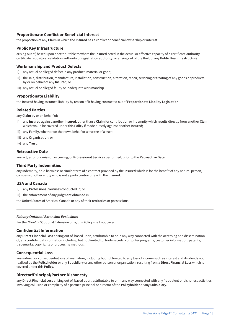#### **Proportionate Conflict or Beneficial Interest**

the proportion of any **Claim** in which the **Insured** has a conflict or beneficial ownership or interest..

#### **Public Key Infrastructure**

arising out of, based upon or attributable to where the **Insured** acted in the actual or effective capacity of a certificate authority, certificate repository, validation authority or registration authority; or arising out of the theft of any **Public Key Infrastructure**.

#### **Workmanship and Product Defects**

- (i) any actual or alleged defect in any product, material or good;
- (ii) the sale, distribution, manufacture, installation, construction, alteration, repair, servicing or treating of any goods or products by or on behalf of any **Insured**; or
- (iii) any actual or alleged faulty or inadequate workmanship.

#### **Proportionate Liability**

the **Insured** having assumed liability by reason of it having contracted out of **Proportionate Liability Legislation**.

#### **Related Parties**

any **Claim** by or on behalf of:

- (i) any **Insured** against another **Insured**, other than a **Claim** for contribution or indemnity which results directly from another **Claim** which would be covered under this **Policy** if made directly against another **Insured**;
- (ii) any **Family**, whether on their own behalf or a trustee of a trust;
- (iii) any **Organisation**; or
- (iv) any **Trust**.

#### **Retroactive Date**

any act, error or omission occurring, or **Professional Services** performed, prior to the **Retroactive Date**.

#### **Third Party Indemnities**

any indemnity, hold harmless or similar term of a contract provided by the **Insured** which is for the benefit of any natural person, company or other entity who is not a party contracting with the **Insured**.

#### **USA and Canada**

- (i) any **Professional Services** conducted in; or
- (ii) the enforcement of any judgment obtained in,

the United States of America, Canada or any of their territories or possessions.

#### *Fidelity Optional Extension Exclusions*

For the *"Fidelity"* Optional Extension only, this **Policy** shall not cover:

#### **Confidential Information**

any **Direct Financial Loss** arising out of, based upon, attributable to or in any way connected with the accessing and dissemination of, any confidential information including, but not limited to, trade secrets, computer programs, customer information, patents, trademarks, copyrights or processing methods.

#### **Consequential Loss**

any indirect or consequential loss of any nature, including but not limited to any loss of income such as interest and dividends not realised by the **Policyholder** or any **Subsidiary** or any other person or organisation, resulting from a **Direct Financial Loss** which is covered under this **Policy**.

#### **Director/Principal/Partner Dishonesty**

any **Direct Financial Loss** arising out of, based upon, attributable to or in any way connected with any fraudulent or dishonest activities involving collusion or complicity of a partner, principal or director of the **Policyholder** or any **Subsidiary**.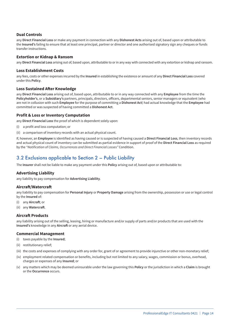#### **Dual Controls**

any **Direct Financial Loss** or make any payment in connection with any **Dishonest Acts** arising out of, based upon or attributable to the **Insured's** failing to ensure that at least one principal, partner or director and one authorised signatory sign any cheques or funds transfer instructions.

#### **Extortion or Kidnap & Ransom**

any **Direct Financial Loss** arising out of, based upon, attributable to or in any way with connected with any extortion or kidnap and ransom.

#### **Loss Establishment Costs**

any fees, costs or other expenses incurred by the **Insured** in establishing the existence or amount of any **Direct Financial Loss** covered under this **Policy**.

#### **Loss Sustained After Knowledge**

any **Direct Financial Loss** arising out of, based upon, attributable to or in any way connected with any **Employee** from the time the **Policyholder's**, or a **Subsidiary's** partners, principals, directors, officers, departmental seniors, senior managers or equivalent (who are not in collusion with such **Employee** for the purpose of committing a **Dishonest Act**) had actual knowledge that the **Employee** had committed or was suspected of having committed a **Dishonest Act**.

#### **Profit & Loss or Inventory Computation**

any **Direct Financial Loss** the proof of which is dependent solely upon:

- (i) a profit and loss computation; or
- (ii) a comparison of inventory records with an actual physical count.

If, however, an **Employee** is identified as having caused or is suspected of having caused a **Direct Financial Loss**, then inventory records and actual physical count of inventory can be submitted as partial evidence in support of proof of the **Direct Financial Loss** as required by the *"Notification of Claims, Occurrences and Direct Financial Losses"* Condition.

### 3.2 Exclusions applicable to Section 2 – Public Liability

The **Insurer** shall not be liable to make any payment under this **Policy** arising out of, based upon or attributable to:

#### **Advertising Liability**

any liability to pay compensation for **Advertising Liability**.

#### **Aircraft/Watercraft**

any liability to pay compensation for **Personal Injury** or **Property Damage** arising from the ownership, possession or use or legal control by the **Insured** of:

- (i) any **Aircraft**; or
- (ii) any **Watercraft**.

#### **Aircraft Products**

any liability arising out of the selling, leasing, hiring or manufacture and/or supply of parts and/or products that are used with the **Insured's** knowledge in any **Aircraft** or any aerial device.

#### **Commercial Management**

- (i) taxes payable by the **Insured**;
- (ii) restitutionary relief;
- (iii) the costs and expenses of complying with any order for, grant of or agreement to provide injunctive or other non-monetary relief;
- (iv) employment related compensation or benefits, including but not limited to any salary, wages, commission or bonus, overhead, charges or expenses of any **Insured**; or
- (v) any matters which may be deemed uninsurable under the law governing this **Policy** or the jurisdiction in which a **Claim** is brought or the **Occurrence** occurs.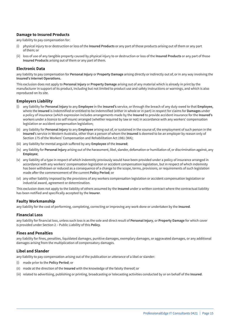#### **Damage to Insured Products**

any liability to pay compensation for:

- (i) physical injury to or destruction or loss of the **Insured Products** or any part of those products arising out of them or any part of them; or
- (ii) loss of use of any tangible property caused by physical injury to or destruction or loss of the **Insured Products** or any part of those **Insured Products** arising out of them or any part of them.

#### **Electronic Data**

any liability to pay compensation for **Personal Injury** or **Property Damage** arising directly or indirectly out of, or in any way involving the **Insured's Internet Operations.**

This exclusion does not apply to **Personal Injury** or **Property Damage** arising out of any material which is already in print by the manufacturer in support of its product, including but not limited to product use and safety instructions or warnings, and which is also reproduced on its site.

#### **Employers Liability**

- (i) any liability for **Personal Injury** to any **Employee** in the **Insured's** service, or through the breach of any duty owed to that **Employee,** where the **Insured** is indemnified or entitled to be indemnified (either in whole or in part) in respect for claims for **Damages** under a policy of insurance (which expression includes arrangements made by the **Insured** to provide accident insurance for the **Insured's** workers under a licence to self insure) arranged (whether required by law or not) in accordance with any workers' compensation legislation or accident compensation legislation;
- (ii) any liability for **Personal Injury** to any **Employee** arising out of, or sustained in the course of, the employment of such person in the **Insured**'s service in Western Australia, other than a person of whom the **Insured** is deemed to be an employer by reason only of Section 175 of the Workers' Compensation and Rehabilitation Act 1981 (WA);
- (iii) any liability for mental anguish suffered by any **Employee** of the **Insured**;
- (iv) any liability for **Personal Injury** arising out of the harassment, libel, slander, defamation or humiliation of, or discrimination against, any **Employee**;
- (v) any liability of a type in respect of which indemnity previously would have been provided under a policy of insurance arranged in accordance with any workers' compensation legislation or accident compensation legislation, but in respect of which indemnity has been withdrawn or reduced as a consequence of a change to the scope, terms, provisions, or requirements of such legislation made after the commencement of the current **Policy Period**; or
- (vi) any other liability imposed by the provisions of any workers compensation legislation or accident compensation legislation or industrial award, agreement or determination.

This exclusion does not apply to the liability of others assumed by the **Insured** under a written contract where the contractual liability has been notified and specifically accepted by the **Insurer**.

#### **Faulty Workmanship**

any liability for the cost of performing, completing, correcting or improving any work done or undertaken by the **Insured**.

#### **Financial Loss**

any liability for financial loss, unless such loss is as the sole and direct result of **Personal Injury**, or **Property Damage** for which cover is provided under Section 2 – Public Liability of this **Policy**.

#### **Fines and Penalties**

any liability for fines, penalties, liquidated damages, punitive damages, exemplary damages, or aggravated damages, or any additional damages arising from the multiplication of compensatory damages.

#### **Libel and Slander**

any liability to pay compensation arising out of the publication or utterance of a libel or slander:

- (i) made prior to the **Policy Period**; or
- (ii) made at the direction of the **Insured** with the knowledge of the falsity thereof; or
- (iii) related to advertising, publishing or printing, broadcasting or telecasting activities conducted by or on behalf of the **Insured**.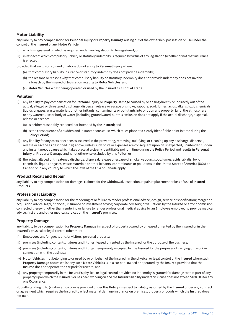#### **Motor Liability**

any liability to pay compensation for **Personal Injury** or **Property Damage** arising out of the ownership, possession or use under the control of the **Insured** of any **Motor Vehicle**:

- (i) which is registered or which is required under any legislation to be registered; or
- (ii) in respect of which compulsory liability or statutory indemnity is required by virtue of any legislation (whether or not that insurance is effected),

provided that exclusions (i) and (ii) above do not apply to **Personal Injury** where:

- (a) that compulsory liability insurance or statutory indemnity does not provide indemnity;
- (b) the reasons or reasons why that compulsory liability or statutory indemnity does not provide indemnity does not involve a breach by the **Insured** of legislation relating to **Motor Vehicles**; and
- (c) **Motor Vehicles** whilst being operated or used by the **Insured** as a **Tool of Trade**.

#### **Pollution**

- (i) any liability to pay compensation for **Personal Injury** or **Property Damage** caused by or arising directly or indirectly out of the actual, alleged or threatened discharge, dispersal, release or escape of smoke, vapours, soot, fumes, acids, alkalis, toxic chemicals, liquids or gases, waste materials or other irritants, contaminants or pollutants into or upon any property, land, the atmosphere or any watercourse or body of water (including groundwater) but this exclusion does not apply if the actual discharge, dispersal, release or escape:
	- (a) is neither reasonably expected nor intended by the **Insured**; and
	- (b) is the consequence of a sudden and instantaneous cause which takes place at a clearly identifiable point in time during the **Policy Period**;
- (ii) any liability for any costs or expenses incurred in the preventing, removing, nullifying, or cleaning up any discharge, dispersal, release or escape as described in (i) above, unless such costs or expenses are consequent upon an unexpected, unintended sudden and instantaneous cause which takes place at a clearly identifiable point in time during the **Policy Period** and results in **Personal Injury** or **Property Damage** and is not otherwise excluded by this **Policy**; or
- (iii) the actual alleged or threatened discharge, dispersal, release or escape of smoke, vapours, soot, fumes, acids, alkalis, toxic chemicals, liquids or gases, waste materials or other irritants, contaminants or pollutants in the United States of America (USA) or Canada or in any country to which the laws of the USA or Canada apply.

#### **Product Recall and Repair**

any liability to pay compensation for damages claimed for the withdrawal, inspection, repair, replacement or loss of use of **Insured Products**.

#### **Professional Liability**

any liability to pay compensation for the rendering of or failure to render professional advice, design, service or specification; merger or acquisition advice; legal, financial, insurance or investment advice; corporate advisory; or valuations by the **Insured** or error or omission connected therewith other than rendering or failure to render professional medical advice by an **Employee** employed to provide medical advice, first aid and other medical services on the **Insured's** premises.

#### **Property Damage**

any liability to pay compensation for **Property Damage** in respect of property owned by or leased or rented by the **Insured** or in the **Insured's** physical or legal control other than:

- (i) **Employees** and/or guests and/or visitors' personal property;
- (ii) premises (including contents, fixtures and fittings) leased or rented by the **Insured** for the purpose of the business;
- (iii) premises (including contents, fixtures and fittings) temporarily occupied by the **Insured** for the purposes of carrying out work in connection with the business;
- (iv) **Motor Vehicles** (not belonging to or used by or on behalf of the **Insured**) in the physical or legal control of the **Insured** where such **Property Damage** occurs whilst any such **Motor Vehicles** is in a car park owned or operated by the **Insured** provided that the **Insured** does not operate the car park for reward; and
- (v) any property temporarily in the **Insured's** physical or legal control provided no indemnity is granted for damage to that part of any property upon which the **Insured** is or has been working on and the **Insurer's** liability under this clause does not exceed \$100,000 for any one **Occurrence**.

Notwithstanding (i) to (v) above, no cover is provided under this **Policy** in respect to liability assumed by the **Insured** under any contract or agreement which requires the **Insured** to effect material damage insurance on premises, property or goods which the **Insured** does not own.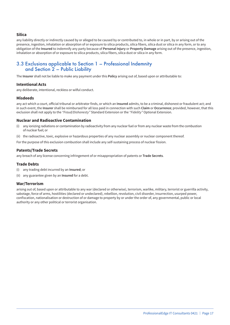#### **Silica**

any liability directly or indirectly caused by or alleged to be caused by or contributed to, in whole or in part, by or arising out of the presence, ingestion, inhalation or absorption of or exposure to silica products, silica fibers, silica dust or silica in any form, or to any obligation of the **Insured** to indemnify any party because of **Personal Injury** or **Property Damage** arising out of the presence, ingestion, inhalation or absorption of or exposure to silica products, silica fibers, silica dust or silica in any form.

### 3.3 Exclusions applicable to Section 1 – Professional Indemnity and Section 2 – Public Liability

The **Insurer** shall not be liable to make any payment under this **Policy** arising out of, based upon or attributable to:

#### **Intentional Acts**

any deliberate, intentional, reckless or wilful conduct.

#### **Misdeeds**

any act which a court, official tribunal or arbitrator finds, or which an **Insured** admits, to be a criminal, dishonest or fraudulent act; and in such event, the **Insurer** shall be reimbursed for all loss paid in connection with such **Claim** or **Occurrence**; provided, however, that this exclusion shall not apply to the *"Fraud/Dishonesty"* Standard Extension or the *"Fidelity"* Optional Extension.

#### **Nuclear and Radioactive Contamination**

- (i) any ionizing radiations or contamination by radioactivity from any nuclear fuel or from any nuclear waste from the combustion of nuclear fuel; or
- (ii) the radioactive, toxic, explosive or hazardous properties of any nuclear assembly or nuclear component thereof.

For the purpose of this exclusion combustion shall include any self-sustaining process of nuclear fission.

#### **Patents/Trade Secrets**

any breach of any license concerning infringement of or misappropriation of patents or **Trade Secrets**.

#### **Trade Debts**

- (i) any trading debt incurred by an **Insured**; or
- (ii) any guarantee given by an **Insured** for a debt.

#### **War/Terrorism**

arising out of, based upon or attributable to any war (declared or otherwise), terrorism, warlike, military, terrorist or guerrilla activity, sabotage, force of arms, hostilities (declared or undeclared), rebellion, revolution, civil disorder, insurrection, usurped power, confiscation, nationalisation or destruction of or damage to property by or under the order of, any governmental, public or local authority or any other political or terrorist organisation.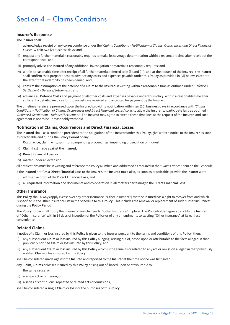## Section 4 – Claims Conditions

#### **Insurer's Response**

The **Insurer** shall:

- (i) acknowledge receipt of any correspondence under the '*Claims Conditions Notification of Claims, Occurrences and Direct Financial Losses'* within two (2) business days; and
- (ii) request any further material it reasonably requires to make its coverage determination within a reasonable time after receipt of the correspondence; and
- (iii) promptly advise the **Insured** of any additional investigation or material it reasonably requires; and
- (iv) within a reasonable time after receipt of all further material referred to in (ii) and (iii); and at the request of the **Insured**, the **Insurer** shall confirm their preparedness to advance any costs and expenses payable under this **Policy** as provided in (vi) below, except to the extent that indemnity has been denied; and
- (v) confirm the assumption of the defence of a **Claim** to the **Insured** in writing within a reasonable time as outlined under *'Defence & Settlement – Defence/Settlement'*; and
- (vi) advance all **Defence Costs** and payment of all other costs and expenses payable under this **Policy**, within a reasonable time after sufficiently detailed invoices for those costs are received and accepted for payment by the **Insurer**.

The timelines herein are premised upon the **Insured** providing notification within ten (10) business days in accordance with *'Claims Conditions – Notification of Claims, Occurrences and Direct Financial Losses'* so as to allow the **Insurer** to participate fully as outlined in *'Defence & Settlement – Defence/Settlement.'* The **Insured** may agree to extend these timelines at the request of the **Insurer**, and such agreement is not to be unreasonably withheld.

#### **Notification of Claims, Occurrences and Direct Financial Losses**

The **Insured** shall, as a condition precedent to the obligations of the **Insurer** under this **Policy**, give written notice to the **Insurer** as soon as practicable and during the **Policy Period** of any:

- (i) **Occurrence**, claim, writ, summons, impending proceedings, impending prosecution or inquest;
- (ii) **Claim** first made against the **Insured**;
- (iii) **Direct Financial Loss**; or
- (iv) matter under an extension.

All notifications must be in writing and reference the Policy Number, and addressed as required in the *"Claims Notice"* Item on the Schedule.

If the **Insured** notifies a **Direct Financial Loss** to the **Insurer**, the **Insured** must also, as soon as practicable, provide the **Insurer** with:

- (i) affirmative proof of the **Direct Financial Loss**; and
- (ii) all requested information and documents and co-operation in all matters pertaining to the **Direct Financial Loss**.

#### **Other Insurance**

This **Policy** shall always apply excess over any other insurance ("Other Insurance") that the **Insured** has a right to recover from and which is specified in the Other Insurance List in the Schedule to this **Policy**. This includes the renewal or replacement of such "Other Insurance" during the **Policy Period**.

The **Policyholder** shall notify the **Insurer** of any changes to "Other Insurance" in place. The **Policyholder** agrees to notify the **Insurer** of "Other Insurance" within 14 days of inception of the **Policy** or of any amendments to existing "Other Insurance" at its earliest convenience.

#### **Related Claims**

If notice of a **Claim** or loss insured by this **Policy** is given to the **Insurer** pursuant to the terms and conditions of this **Policy**, then:

- (i) any subsequent **Claim** or loss insured by this **Policy** alleging, arising out of, based upon or attributable to the facts alleged in that previously notified **Claim** or loss insured by this **Policy**; and
- (ii) any subsequent **Claim** or loss insured by this **Policy** which is the same as or related to any act or omission alleged in that previously notified **Claim** or loss insured by this **Policy**,

shall be considered made against the **Insured** and reported to the **Insurer** at the time notice was first given.

Any **Claim**, **Claims** or losses insured by this **Policy** arising out of, based upon or attributable to:

- (i) the same cause; or
- (ii) a single act or omission; or
- (iii) a series of continuous, repeated or related acts or omissions,

shall be considered a single **Claim** or loss for the purposes of this **Policy**.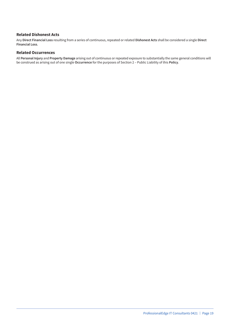#### **Related Dishonest Acts**

Any **Direct Financial Loss** resulting from a series of continuous, repeated or related **Dishonest Acts** shall be considered a single **Direct Financial Loss**.

#### **Related Occurrences**

All **Personal Injury** and **Property Damage** arising out of continuous or repeated exposure to substantially the same general conditions will be construed as arising out of one single **Occurrence** for the purposes of Section 2 – Public Liability of this **Policy**.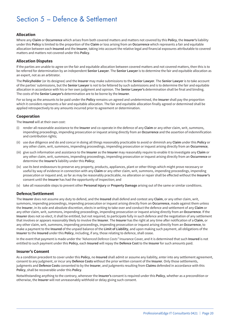## Section 5 – Defence & Settlement

#### **Allocation**

Where any **Claim** or **Occurrence** which arises from both covered matters and matters not covered by this **Policy**, the **Insurer's** liability under this **Policy** is limited to the proportion of the **Claim** or loss arising from an **Occurrence** which represents a fair and equitable allocation between each **Insured** and the **Insurer**, taking into account the relative legal and financial exposures attributable to covered matters and matters not covered under this **Policy**.

#### **Allocation Disputes**

If the parties are unable to agree on the fair and equitable allocation between covered matters and not covered matters, then this is to be referred for determination by an independent **Senior Lawyer**. The **Senior Lawyer** is to determine the fair and equitable allocation as an expert, not as an arbitrator.

The **Policyholder** (or its designee) and the **Insurer** may make submissions to the **Senior Lawyer**. The **Senior Lawyer** is to take account of the parties' submissions, but the **Senior Lawyer** is not to be fettered by such submissions and is to determine the fair and equitable allocation in accordance with his or her own judgment and opinion. The **Senior Lawyer's** determination shall be final and binding. The costs of the **Senior Lawyer's** determination are to be borne by the **Insurer**.

For so long as the amounts to be paid under the **Policy** remains un-agreed and undetermined, the **Insurer** shall pay the proportion which it considers represents a fair and equitable allocation. The fair and equitable allocation finally agreed or determined shall be applied retrospectively to any amounts incurred prior to agreement or determination.

#### **Cooperation**

The **Insured** will at their own cost:

- (i) render all reasonable assistance to the **Insurer** and co-operate in the defence of any **Claim** or any other claim, writ, summons, impending proceedings, impending prosecution or inquest arising directly from an **Occurrence** and the assertion of indemnification and contribution rights;
- (ii) use due diligence and do and concur in doing all things reasonably practicable to avoid or diminish any **Claim** under this **Policy** or any other claim, writ, summons, impending proceedings, impending prosecution or inquest arising directly from an **Occurrence**;
- (iii) give such information and assistance to the **Insurer** as the **Insurer** may reasonably require to enable it to investigate any **Claim** or any other claim, writ, summons, impending proceedings, impending prosecution or inquest arising directly from an **Occurrence** or determine the **Insurer's** liability under this **Policy**;
- (iv) use its best endeavours to preserve any property, products, appliances, plant or other things which might prove necessary or useful by way of evidence in connection with any **Claim** or any other claim, writ, summons, impending proceedings, impending prosecution or inquest and, so far as may be reasonably practicable, no alteration or repair shall be effected without the **Insurer's** consent until the **Insurer** has had the opportunity of inspection; and
- (v) take all reasonable steps to prevent other **Personal Injury** or **Property Damage** arising out of the same or similar conditions.

#### **Defence/Settlement**

The **Insurer** does not assume any duty to defend, and the **Insured** shall defend and contest any **Claim**, or any other claim, writ, summons, impending proceedings, impending prosecution or inquest arising directly from an **Occurrence**, made against them unless the **Insurer**, in its sole and absolute discretion, elects in writing to take over and conduct the defence and settlement of any **Claim** or any other claim, writ, summons, impending proceedings, impending prosecution or inquest arising directly from an **Occurrence**. If the **Insurer** does not so elect, it shall be entitled, but not required, to participate fully in such defence and the negotiation of any settlement that involves or appears reasonably likely to involve the **Insurer**. The **Insurer** has the right at any time after notification of a **Claim**, or any other claim, writ, summons, impending proceedings, impending prosecution or inquest arising directly from an **Occurrence**, to make a payment to the **Insured** of the unpaid balance of the **Limit of Liability**, and upon making such payment, all obligations of the **Insurer** to the **Insured** under this **Policy**, including, if any, those relating to defence, shall cease.

In the event that payment is made under the *"Advanced Defence Costs"* Insurance Cover, and it is determined that such **Insured** is not entitled to such payment under this **Policy**, each **Insured** will repay the **Defence Cost** to the **Insurer** for such amounts paid.

#### **Insurer's Consent**

As a condition precedent to cover under this **Policy**, no **Insured** shall admit or assume any liability, enter into any settlement agreement, consent to any judgment, or incur any **Defence Costs** without the prior written consent of the **Insurer**. Only those settlements, judgments and **Defence Costs** consented to by the **Insurer**, and judgments resulting from **Claims** defended in accordance with this **Policy**, shall be recoverable under this **Policy**.

Notwithstanding anything to the contrary, whenever the **Insurer's** consent is required under this **Policy**, whether as a precondition or otherwise, the **Insurer** will not unreasonably withhold or delay giving such consent.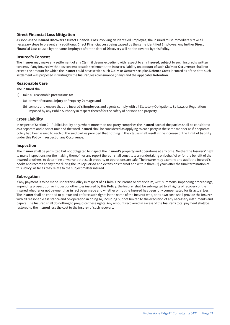#### **Direct Financial Loss Mitigation**

As soon as the **Insured Discovers** a **Direct Financial Loss** involving an identified **Employee**, the **Insured** must immediately take all necessary steps to prevent any additional **Direct Financial Loss** being caused by the same identified **Employee**. Any further **Direct Financial Loss** caused by the same **Employee** after the date of **Discovery** will not be covered by this **Policy**.

#### **Insured's Consent**

The **Insurer** may make any settlement of any **Claim** it deems expedient with respect to any **Insured**, subject to such **Insured's** written consent. If any **Insured** withholds consent to such settlement, the **Insurer's** liability on account of such **Claim** or **Occurrence** shall not exceed the amount for which the **Insurer** could have settled such **Claim** or **Occurrence**, plus **Defence Costs** incurred as of the date such settlement was proposed in writing by the **Insurer**, less coinsurance (if any) and the applicable **Retention**.

#### **Reasonable Care**

The **Insured** shall:

- (i) take all reasonable precautions to:
	- (a) prevent **Personal Injury** or **Property Damage**; and
	- (b) comply and ensure that the **Insured's Employees** and agents comply with all Statutory Obligations, By-Laws or Regulations imposed by any Public Authority in respect thereof for the safety of persons and property.

#### **Cross Liability**

In respect of Section 2 – Public Liability only, where more than one party comprises the **Insured** each of the parties shall be considered as a separate and distinct unit and the word **Insured** shall be considered as applying to each party in the same manner as if a separate policy had been issued to each of the said parties provided that nothing in this clause shall result in the increase of the **Limit of liability** under this **Policy** in respect of any **Occurrence**.

#### **Inspection**

The **Insurer** shall be permitted but not obligated to inspect the **Insured's** property and operations at any time. Neither the **Insurers'** right to make inspections nor the making thereof nor any report thereon shall constitute an undertaking on behalf of or for the benefit of the **Insured** or others, to determine or warrant that such property or operations are safe. The **Insurer** may examine and audit the **Insured's** books and records at any time during the **Policy Period** and extensions thereof and within three (3) years after the final termination of this **Policy**, as far as they relate to the subject matter insured.

#### **Subrogation**

If any payment is to be made under this **Policy** in respect of a **Claim**, **Occurrence** or other claim, writ, summons, impending proceedings, impending prosecution or inquest or other loss insured by this **Policy**, the **Insurer** shall be subrogated to all rights of recovery of the **Insured** whether or not payment has in fact been made and whether or not the **Insured** has been fully compensated for its actual loss. The **Insurer** shall be entitled to pursue and enforce such rights in the name of the **Insured** who, at its own cost, shall provide the **Insurer** with all reasonable assistance and co-operation in doing so, including but not limited to the execution of any necessary instruments and papers. The **Insured** shall do nothing to prejudice these rights. Any amount recovered in excess of the **Insurer's** total payment shall be restored to the **Insured** less the cost to the **Insurer** of such recovery.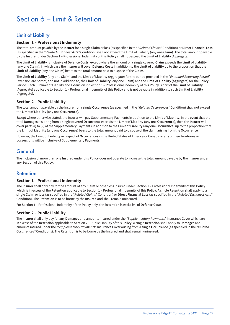## Section 6 – Limit & Retention

## Limit of Liability

#### **Section 1 – Professional Indemnity**

The total amount payable by the **Insurer** for a single **Claim** or loss (as specified in the *"Related Claims"* Condition) or **Direct Financial Loss** (as specified in the *"Related Dishonest Acts"* Condition) shall not exceed the Limit of Liability (any one **Claim**). The total amount payable by the **Insurer** under Section 1 – Professional Indemnity of this **Policy** shall not exceed the **Limit of Liability** (Aggregate).

The **Limit of Liability** is inclusive of **Defence Costs**, except where the amount of a single covered **Claim** exceeds the **Limit of Liability** (any one **Claim**), in which case the **Insurer** will cover **Defence Costs** in addition to the **Limit of Liability** up to the proportion that the **Limit of Liability** (any one **Claim**) bears to the total amount paid to dispose of the **Claim**.

The **Limit of Liability** (any one **Claim**) and the **Limit of Liability** (Aggregate) for the period provided in the *"Extended Reporting Period"* Extension are part of, and not in addition to, the **Limit of Liability** (any one **Claim**) and the **Limit of Liability** (Aggregate) for the **Policy Period**. Each Sublimit of Liability and Extension in Section 1 – Professional Indemnity of this **Policy** is part of the **Limit of Liability** (Aggregate) applicable to Section 1 – Professional Indemnity of this **Policy** and is not payable in addition to such **Limit of Liability** (Aggregate).

#### **Section 2 – Public Liability**

The total amount payable by the **Insurer** for a single **Occurrence** (as specified in the *"Related Occurrences"* Condition) shall not exceed the **Limit of Liability** (any one **Occurrence**).

Except where otherwise stated, the **Insurer** will pay Supplementary Payments in addition to the **Limit of Liability**. In the event that the total **Damages** resulting from a single covered **Occurrence** exceeds the **Limit of Liability** (any one **Occurrence**), then the **Insurer** will cover parts (i) to (v) of the Supplementary Payments in addition to the **Limit of Liability** (any one **Occurrence**) up to the proportion that the **Limit of Liability** (any one **Occurrence**) bears to the total amount paid to dispose of the claim arising from the **Occurrence**.

However, the **Limit of Liability** in respect of **Occurrences** in the United States of America or Canada or any of their territories or possessions will be inclusive of Supplementary Payments.

### General

The inclusion of more than one **Insured** under this **Policy** does not operate to increase the total amount payable by the **Insurer** under any Section of this **Policy**.

### Retention

#### **Section 1 – Professional Indemnity**

The **Insurer** shall only pay for the amount of any **Claim** or other loss insured under Section 1 – Professional Indemnity of this **Policy** which is in excess of the **Retention** applicable to Section 1 – Professional Indemnity of this **Policy**. A single **Retention** shall apply to a single **Claim** or loss (as specified in the *"Related Claims"* Condition) or **Direct Financial Loss** (as specified in the *"Related Dishonest Acts"* Condition). The **Retention** is to be borne by the **Insured** and shall remain uninsured.

For Section 1 – Professional Indemnity of the **Policy** only, the **Retention** is exclusive of **Defence Costs**.

#### **Section 2 – Public Liability**

The **Insurer** shall only pay for any **Damages** and amounts insured under the *"Supplementary Payments"* Insurance Cover which are in excess of the **Retention** applicable to Section 2 – Public Liability of this **Policy**. A single **Retention** shall apply to **Damages** and amounts insured under the *"Supplementary Payments"* Insurance Cover arising from a single **Occurrence** (as specified in the *"Related Occurrences"* Conditions). The **Retention** is to be borne by the **Insured** and shall remain uninsured.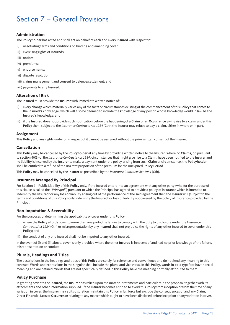## Section 7 – General Provisions

#### **Administration**

The **Policyholder** has acted and shall act on behalf of each and every **Insured** with respect to:

- (i) negotiating terms and conditions of, binding and amending cover;
- (ii) exercising rights of **Insureds**;
- (iii) notices;
- (iv) premiums;
- (v) endorsements;
- (vi) dispute resolution;
- (vii) claims management and consent to defence/settlement; and
- (viii) payments to any **Insured**.

#### **Alteration of Risk**

The **Insured** must provide the **Insurer** with immediate written notice of:

- (i) every change which materially varies any of the facts or circumstances existing at the commencement of this **Policy** that comes to the **Insured's** knowledge, which will also be deemed to include the knowledge of any person whose knowledge would in law be the **Insured's** knowledge; and
- (ii) if the **Insured** does not provide such notification before the happening of a **Claim** or an **Occurrence** giving rise to a claim under this **Policy** then, subject to the *Insurance Contracts Act 1984* (Cth), the **Insurer** may refuse to pay a claim, either in whole or in part.

#### **Assignment**

This **Policy** and any rights under or in respect of it cannot be assigned without the prior written consent of the **Insurer**.

#### **Cancellation**

This **Policy** may be cancelled by the **Policyholder** at any time by providing written notice to the **Insurer**. Where no **Claims**, or, pursuant to section 40(3) of the *Insurance Contracts Act 1984*, circumstances that might give rise to a **Claim**, have been notified to the **Insurer** and no liability is incurred by the **Insurer** to make a payment under the policy arising from such **Claim** or circumstance, the **Policyholder** shall be entitled to a refund of the *pro rata* proportion of the premium for the unexpired **Policy Period**.

This **Policy** may be cancelled by the **Insurer** as prescribed by the *Insurance Contracts Act 1984* (Cth).

#### **Insurance Arranged By Principal**

For Section 2 – Public Liability of this **Policy** only, If the **Insured** enters into an agreement with any other party (who for the purpose of this clause is called the *"Principal"*) pursuant to which the Principal has agreed to provide a policy of insurance which is intended to indemnify the **Insured** for any loss or liability arising out of the performance of the said agreement then the **Insurer** will (subject to the terms and conditions of this **Policy**) only indemnify the **Insured** for loss or liability not covered by the policy of insurance provided by the Principal.

#### **Non-Imputation & Severability**

For the purposes of determining the applicability of cover under this **Policy**:

- (i) where the **Policy** affords cover to more than one party, the failure to comply with the duty to disclosure under the *Insurance Contracts Act 1984* (Cth) or misrepresentation by any **Insured** shall not prejudice the rights of any other **Insured** to cover under this **Policy**; and
- (ii) the conduct of any one **Insured** shall not be imputed to any other **Insured**.

In the event of (i) and (ii) above, cover is only provided where the other **Insured** is innocent of and had no prior knowledge of the failure, misrepresentation or conduct.

#### **Plurals, Headings and Titles**

The descriptions in the headings and titles of this **Policy** are solely for reference and convenience and do not lend any meaning to this contract. Words and expressions in the singular shall include the plural and vice versa. In this **Policy**, words in **bold** typeface have special meaning and are defined. Words that are not specifically defined in this **Policy** have the meaning normally attributed to them.

#### **Policy Purchase**

In granting cover to the **Insured**, the **Insurer** has relied upon the material statements and particulars in the proposal together with its attachments and other information supplied. If the **Insurer** becomes entitled to avoid this **Policy** from inception or from the time of any variation in cover, the **Insurer** may at its discretion maintain this **Policy** in full force but exclude the consequences of and any **Claim**, **Direct Financial Loss** or **Occurrence** relating to any matter which ought to have been disclosed before inception or any variation in cover.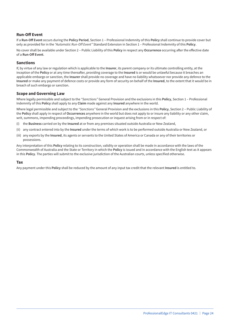#### **Run-Off Event**

If a **Run-Off Event** occurs during the **Policy Period**, Section 1 – Professional Indemnity of this **Policy** shall continue to provide cover but only as provided for in the *"Automatic Run-Off Event"* Standard Extension in Section 1 – Professional Indemnity of this **Policy**.

No cover shall be available under Section 2 – Public Liability of this **Policy** in respect any **Occurrence** occurring after the effective date of a **Run-Off Event**.

#### **Sanctions**

If, by virtue of any law or regulation which is applicable to the **Insurer**, its parent company or its ultimate controlling entity, at the inception of the **Policy** or at any time thereafter, providing coverage to the **Insured** is or would be unlawful because it breaches an applicable embargo or sanction, the **Insurer** shall provide no coverage and have no liability whatsoever nor provide any defence to the **Insured** or make any payment of defence costs or provide any form of security on behalf of the **Insured**, to the extent that it would be in breach of such embargo or sanction.

#### **Scope and Governing Law**

Where legally permissible and subject to the *"Sanctions"* General Provision and the exclusions in this **Policy**, Section 1 – Professional Indemnity of this **Policy** shall apply to any **Claim** made against any **Insured** anywhere in the world.

Where legal permissible and subject to the *"Sanctions"* General Provision and the exclusions in this **Policy**, Section 2 – Public Liability of the **Policy** shall apply in respect of **Occurrences** anywhere in the world but does not apply to or insure any liability or any other claim, writ, summons, impending proceedings, impending prosecution or inquest arising from or in respect of:

- (i) the **Business** carried on by the **Insured** at or from any premises situated outside Australia or New Zealand,
- (ii) any contract entered into by the **Insured** under the terms of which work is to be performed outside Australia or New Zealand, or
- (iii) any exports by the **Insured**, its agents or servants to the United States of America or Canada or any of their territories or possessions.

Any interpretation of this **Policy** relating to its construction, validity or operation shall be made in accordance with the laws of the Commonwealth of Australia and the State or Territory in which the **Policy** is issued and in accordance with the English text as it appears in this **Policy**. The parties will submit to the exclusive jurisdiction of the Australian courts, unless specified otherwise.

#### **Tax**

Any payment under this **Policy** shall be reduced by the amount of any input tax credit that the relevant **Insured** is entitled to.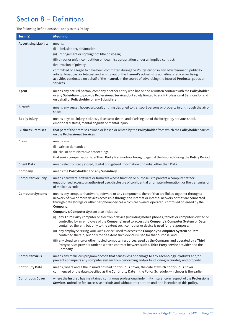## Section 8 – Definitions

#### The following Definitions shall apply to this **Policy**:

| Term(s)                      | <b>Meaning</b>                                                                                                                                                                                                                                                                                                                                                                                                                                                                                                                                                                                                                                                                                                                                                                                                                                                                                                                                                                                                                                                                                                            |
|------------------------------|---------------------------------------------------------------------------------------------------------------------------------------------------------------------------------------------------------------------------------------------------------------------------------------------------------------------------------------------------------------------------------------------------------------------------------------------------------------------------------------------------------------------------------------------------------------------------------------------------------------------------------------------------------------------------------------------------------------------------------------------------------------------------------------------------------------------------------------------------------------------------------------------------------------------------------------------------------------------------------------------------------------------------------------------------------------------------------------------------------------------------|
| <b>Advertising Liability</b> | means:<br>(i) libel, slander, defamation;<br>(ii) infringement or copyright of title or slogan;<br>(iii) piracy or unfair competition or idea misappropriation under an implied contract;<br>(iv) invasion of privacy,<br>committed or alleged to have been committed during the Policy Period in any advertisement, publicity<br>article, broadcast or telecast and arising out of the Insured's advertising activities or any advertising<br>activities conducted on behalf of the Insured, in the course of advertising the Insured Products, goods or<br>services.                                                                                                                                                                                                                                                                                                                                                                                                                                                                                                                                                    |
| Agent                        | means any natural person, company or other entity who has or had a written contract with the Policyholder<br>or any Subsidiary to provide Professional Services, but solely limited to such Professional Services for and<br>on behalf of Policyholder or any Subsidiary.                                                                                                                                                                                                                                                                                                                                                                                                                                                                                                                                                                                                                                                                                                                                                                                                                                                 |
| Aircraft                     | means any vessel, hovercraft, craft or thing designed to transport persons or property in or through the air or<br>space.                                                                                                                                                                                                                                                                                                                                                                                                                                                                                                                                                                                                                                                                                                                                                                                                                                                                                                                                                                                                 |
| <b>Bodily Injury</b>         | means physical injury, sickness, disease or death; and if arising out of the foregoing, nervous shock,<br>emotional distress, mental anguish or mental injury.                                                                                                                                                                                                                                                                                                                                                                                                                                                                                                                                                                                                                                                                                                                                                                                                                                                                                                                                                            |
| <b>Business Premises</b>     | that part of the premises owned or leased or rented by the Policyholder from which the Policyholder carries<br>on the Professional Services.                                                                                                                                                                                                                                                                                                                                                                                                                                                                                                                                                                                                                                                                                                                                                                                                                                                                                                                                                                              |
| Claim                        | means any:<br>(i) written demand; or<br>(ii) civil or administrative proceedings,<br>that seeks compensation to a Third Party first made or brought against the Insured during the Policy Period.                                                                                                                                                                                                                                                                                                                                                                                                                                                                                                                                                                                                                                                                                                                                                                                                                                                                                                                         |
| <b>Client Data</b>           | means electronically stored, digital or digitised information or media, other than Data.                                                                                                                                                                                                                                                                                                                                                                                                                                                                                                                                                                                                                                                                                                                                                                                                                                                                                                                                                                                                                                  |
| Company                      | means the Policyholder and any Subsidiary.                                                                                                                                                                                                                                                                                                                                                                                                                                                                                                                                                                                                                                                                                                                                                                                                                                                                                                                                                                                                                                                                                |
| <b>Computer Security</b>     | means hardware, software or firmware whose function or purpose is to prevent a computer attack,<br>unauthorised access, unauthorised use, disclosure of confidential or private information, or the transmission<br>of malicious code.                                                                                                                                                                                                                                                                                                                                                                                                                                                                                                                                                                                                                                                                                                                                                                                                                                                                                    |
| <b>Computer Systems</b>      | means any computer hardware, software or any components thereof that are linked together through a<br>network of two or more devices accessible through the Internet or internal network or that are connected<br>through data storage or other peripheral devices which are owned, operated, controlled or leased by the<br>Company.<br>Company's Computer System also includes:<br>any Third Party computer or electronic device (including mobile phones, tablets or computers owned or<br>(i)<br>controlled by an employee of the Company) used to access the Company's Computer System or Data<br>contained therein, but only to the extent such computer or device is used for that purpose;<br>(ii) any employee "Bring Your Own Device" used to access the Company's Computer System or Data<br>contained therein, but only to the extent such device is used for that purpose; and<br>(iii) any cloud service or other hosted computer resources, used by the Company and operated by a Third<br>Party service provider under a written contract between such a Third Party service provider and the<br>Company. |
| <b>Computer Virus</b>        | means any malicious program or code that causes loss or damage to any Technology Products and/or<br>prevents or impairs any computer system from performing and/or functioning accurately and properly.                                                                                                                                                                                                                                                                                                                                                                                                                                                                                                                                                                                                                                                                                                                                                                                                                                                                                                                   |
| <b>Continuity Date</b>       | means, where and if the Insured has had Continuous Cover, the date at which Continuous Cover<br>commenced or the date specified as the Continuity Date in the Policy Schedule, whichever is the earlier.                                                                                                                                                                                                                                                                                                                                                                                                                                                                                                                                                                                                                                                                                                                                                                                                                                                                                                                  |
| <b>Continuous Cover</b>      | where the Insured has maintained continuous professional indemnity insurance in respect of the Professional<br>Services, unbroken for successive periods and without interruption until the inception of this policy.                                                                                                                                                                                                                                                                                                                                                                                                                                                                                                                                                                                                                                                                                                                                                                                                                                                                                                     |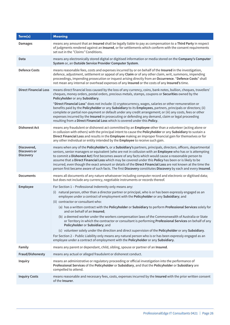| Term(s)                                         | <b>Meaning</b>                                                                                                                                                                                                                                                                                                                                                                                                                                                                                                                                                                                                                                                                                                                                                                                                                                                                                                                                                                                                 |
|-------------------------------------------------|----------------------------------------------------------------------------------------------------------------------------------------------------------------------------------------------------------------------------------------------------------------------------------------------------------------------------------------------------------------------------------------------------------------------------------------------------------------------------------------------------------------------------------------------------------------------------------------------------------------------------------------------------------------------------------------------------------------------------------------------------------------------------------------------------------------------------------------------------------------------------------------------------------------------------------------------------------------------------------------------------------------|
| <b>Damages</b>                                  | means any amount that an Insured shall be legally liable to pay as compensation to a Third Party in respect<br>of judgments rendered against an Insured, or for settlements which conform with the consent requirements<br>set out in the "Claims" Conditions.                                                                                                                                                                                                                                                                                                                                                                                                                                                                                                                                                                                                                                                                                                                                                 |
| Data                                            | means any electronically stored digital or digitised information or media stored on the Company's Computer<br>System or, an Outside Service Provider Computer System.                                                                                                                                                                                                                                                                                                                                                                                                                                                                                                                                                                                                                                                                                                                                                                                                                                          |
| <b>Defence Costs</b>                            | means reasonable fees, costs and expenses incurred by or on behalf of the Insured in the investigation,<br>defence, adjustment, settlement or appeal of any Claim or of any other claim, writ, summons, impending<br>proceedings, impending prosecution or inquest arising directly from an Occurrence. "Defence Costs" shall<br>not mean any internal or overhead expenses of any Insured or the costs of any Insured's time.                                                                                                                                                                                                                                                                                                                                                                                                                                                                                                                                                                                 |
| <b>Direct Financial Loss</b>                    | means direct financial loss caused by the loss of any currency, coins, bank notes, bullion, cheques, travellers'<br>cheques, money orders, postal orders, precious metals, stamps, coupons or Securities owned by the<br>Policyholder or any Subsidiary.<br>"Direct Financial Loss" does not include: (i) cryptocurrency, wages, salaries or other remuneration or<br>benefits paid by the Policyholder or any Subsidiary to its Employees, partners, principals or directors; (ii)<br>complete or partial non-payment or default under any credit arrangement; or (iii) any costs, fees or other<br>expenses incurred by the Insured in prosecuting or defending any demand, claim or legal proceeding<br>resulting from a Direct Financial Loss which is covered under this Policy.                                                                                                                                                                                                                          |
| <b>Dishonest Act</b>                            | means any fraudulent or dishonest act committed by an Employee other than a volunteer (acting alone or<br>in collusion with others) with the principal intent to cause the Policyholder or any Subsidiary to sustain a<br>Direct Financial Loss and results in the Employee making an improper financial gain for themselves or for<br>any other individual or entity intended by the Employee to receive such gain.                                                                                                                                                                                                                                                                                                                                                                                                                                                                                                                                                                                           |
| Discovered,<br>Discovers or<br><b>Discovery</b> | means when any of the Policyholder's, or a Subsidiary's partners, principals, directors, officers, departmental<br>seniors, senior managers or equivalent (who are not in collusion with an Employee who has or is attempting<br>to commit a Dishonest Act) first becomes aware of any facts which would cause a reasonable person to<br>assume that a Direct Financial Loss which may be covered under this Policy has been or is likely to be<br>incurred, even though the exact amount or details of the Direct Financial Loss are not known at the time the<br>person first became aware of such facts. The first Discovery constitutes Discovery by each and every Insured.                                                                                                                                                                                                                                                                                                                               |
| <b>Documents</b>                                | means all documents of any nature whatsoever including computer record and electronic or digitised data;<br>but does not include any currency, negotiable instruments or records thereof.                                                                                                                                                                                                                                                                                                                                                                                                                                                                                                                                                                                                                                                                                                                                                                                                                      |
| Employee                                        | For Section 1 - Professional Indemnity only means any:<br>(i) natural person, other than a director partner or principal, who is or has been expressly engaged as an<br>employee under a contract of employment with the Policyholder or any Subsidiary; and<br>(ii) contractor or consultant who:<br>(a) has a written contract with the Policyholder or Subsidiary to perform Professional Services solely for<br>and on behalf of an Insured;<br>(b) a deemed worker under the workers compensation laws of the Commonwealth of Australia or State<br>or Territory in which the contractor or consultant is performing Professional Services on behalf of any<br>Policyholder or Subsidiary; and<br>(c) volunteer solely under the direction and direct supervision of the Policyholder or any Subsidiary.<br>For Section 2 - Public Liability only means any natural person who is or has been expressly engaged as an<br>employee under a contract of employment with the Policyholder or any Subsidiary. |
| Family                                          | means any parent or dependant, child, sibling, spouse or partner of an Insured.                                                                                                                                                                                                                                                                                                                                                                                                                                                                                                                                                                                                                                                                                                                                                                                                                                                                                                                                |
| Fraud/Dishonesty                                | means any actual or alleged fraudulent or dishonest conduct.                                                                                                                                                                                                                                                                                                                                                                                                                                                                                                                                                                                                                                                                                                                                                                                                                                                                                                                                                   |
| Inquiry                                         | means an administrative or regulatory proceeding or official investigation into the performance of<br>Professional Services of the Policyholder or Subsidiary, and that the Policyholder or Subsidiary are<br>compelled to attend.                                                                                                                                                                                                                                                                                                                                                                                                                                                                                                                                                                                                                                                                                                                                                                             |
| <b>Inquiry Costs</b>                            | means reasonable and necessary fees, costs, expenses incurred by the Insured with the prior written consent<br>of the Insurer.                                                                                                                                                                                                                                                                                                                                                                                                                                                                                                                                                                                                                                                                                                                                                                                                                                                                                 |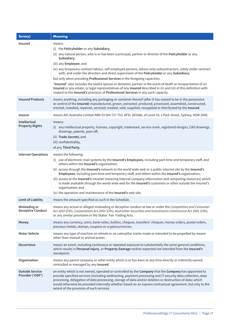| Term(s)                                    | <b>Meaning</b>                                                                                                                                                                                                                                                                                                                                                                                                                                                                                                                                                                                                                                                                                                      |
|--------------------------------------------|---------------------------------------------------------------------------------------------------------------------------------------------------------------------------------------------------------------------------------------------------------------------------------------------------------------------------------------------------------------------------------------------------------------------------------------------------------------------------------------------------------------------------------------------------------------------------------------------------------------------------------------------------------------------------------------------------------------------|
| Insured                                    | means:<br>(i) the Policyholder or any Subsidiary;<br>(ii) any natural person, who is or has been a principal, partner or director of the Policyholder or any<br>Subsidiary;<br>(iii) any Employee; and<br>(iv) any temporary contract labour, self-employed persons, labour-only subcontractors, solely under contract<br>with, and under the direction and direct supervision of the Policyholder or any Subsidiary;<br>but only when providing Professional Services in the foregoing capacities.<br>"Insured" also includes the lawful spouse or domestic partner in the event of death or incapacitation of an                                                                                                  |
| <b>Insured Products</b>                    | Insured or any estate, or legal representatives of any Insured described in (ii) and (iii) of this definition with<br>respect to the Insured's provision of Professional Services in any such capacity.<br>means anything, including any packaging or container thereof (after it has ceased to be in the possession<br>or control of the Insured) manufactured, grown, extracted, produced, processed, assembled, constructed,                                                                                                                                                                                                                                                                                     |
|                                            | erected, installed, repaired, serviced, treated, sold, supplied, resupplied or distributed by the Insured.                                                                                                                                                                                                                                                                                                                                                                                                                                                                                                                                                                                                          |
| <b>Insurer</b>                             | means AIG Australia Limited ABN 93 004 727 753, AFSL 381686, of Level 19, 2 Park Street, Sydney, NSW 2000.                                                                                                                                                                                                                                                                                                                                                                                                                                                                                                                                                                                                          |
| Intellectual<br><b>Property Rights</b>     | means:<br>(i) any intellectual property, licenses, copyright, trademark, service mark, registered designs, CAD drawings,<br>drawings, patents, pass off;<br>(ii) Trade Secrets; and<br>(iii) confidentiality,<br>of any Third Party.                                                                                                                                                                                                                                                                                                                                                                                                                                                                                |
| <b>Internet Operations</b>                 | means the following:<br>(i) use of electronic mail systems by the Insured's Employees, including part-time and temporary staff, and<br>others within the Insured's organisation;<br>(ii) access through the Insured's network to the world wide web or a public internet site by the Insured's<br>Employees, including part-time and temporary staff, and others within the Insured's organisation;<br>(iii) access to the Insured's intranet (meaning internal company information and computing resources) which<br>is made available through the world wide web for the Insured's customers or other outside the Insured's<br>organisation; and<br>(iv) the operation and maintenance of the Insured's web site. |
| <b>Limit of Liability</b>                  | means the amount specified as such in the Schedule.                                                                                                                                                                                                                                                                                                                                                                                                                                                                                                                                                                                                                                                                 |
| Misleading or<br><b>Deceptive Conduct</b>  | means any actual or alleged misleading or deceptive conduct at law or under the Competition and Consumer<br>Act 2010 (Cth), Corporations Act 2001 (Cth), Australian Securities and Investments Commission Act 2001 (Cth),<br>or any similar provisions in the States' Fair Trading Acts.                                                                                                                                                                                                                                                                                                                                                                                                                            |
| Money                                      | means any currency, coins, bank notes, bullion, cheques, travellers' cheques, money orders, postal orders,<br>precious metals, stamps, coupons or cryptocurrencies.                                                                                                                                                                                                                                                                                                                                                                                                                                                                                                                                                 |
| <b>Motor Vehicle</b>                       | means any type of machine on wheels or on caterpillar tracks made or intended to be propelled by means<br>other than manual or animal power.                                                                                                                                                                                                                                                                                                                                                                                                                                                                                                                                                                        |
| <b>Occurrence</b>                          | means an event, including continuous or repeated exposure to substantially the same general conditions,<br>which results in Personal Injury, or Property Damage neither expected not intended from the Insured's<br>standpoint.                                                                                                                                                                                                                                                                                                                                                                                                                                                                                     |
| Organisation                               | means any parent company or other entity which is or has been at any time directly or indirectly owned,<br>controlled or managed by any Insured.                                                                                                                                                                                                                                                                                                                                                                                                                                                                                                                                                                    |
| <b>Outside Service</b><br>Provider ('OSP') | an entity which is not owned, operated or controlled by the Company that the Company has appointed to<br>provide specified services (including webhosting, payment processing and IT security data collection, data<br>processing, delegation of data processing, storage of data and/or deletion or destruction of data) which<br>would otherwise be provided internally whether based on an express contractual agreement, but only to the<br>extent of the provision of such services.                                                                                                                                                                                                                           |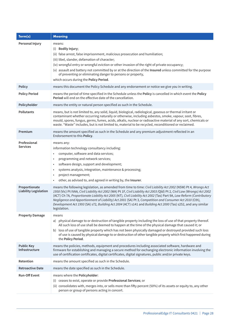| Term(s)                                       | <b>Meaning</b>                                                                                                                                                                                                                                                                                                                                                                                                                                                                                                                                                                                                  |
|-----------------------------------------------|-----------------------------------------------------------------------------------------------------------------------------------------------------------------------------------------------------------------------------------------------------------------------------------------------------------------------------------------------------------------------------------------------------------------------------------------------------------------------------------------------------------------------------------------------------------------------------------------------------------------|
| Personal Injury                               | means:<br>(i) Bodily Injury;<br>(ii) false arrest, false imprisonment, malicious prosecution and humiliation;<br>(iii) libel, slander, defamation of character;<br>(iv) wrongful entry or wrongful eviction or other invasion of the right of private occupancy;<br>(v) assault and battery not committed by or at the direction of the Insured unless committed for the purpose<br>of preventing or eliminating danger to persons or property,<br>which occurs during the Policy Period.                                                                                                                       |
| <b>Policy</b>                                 | means this document the Policy Schedule and any endorsement or notice we give you in writing.                                                                                                                                                                                                                                                                                                                                                                                                                                                                                                                   |
| <b>Policy Period</b>                          | means the period of time specified in the Schedule unless the Policy is cancelled in which event the Policy<br><b>Period</b> will end on the effective date of the cancellation.                                                                                                                                                                                                                                                                                                                                                                                                                                |
| Policyholder                                  | means the entity or natural person specified as such in the Schedule.                                                                                                                                                                                                                                                                                                                                                                                                                                                                                                                                           |
| <b>Pollutants</b>                             | means, but is not limited to, any solid, liquid, biological, radiological, gaseous or thermal irritant or<br>contaminant whether occurring naturally or otherwise, including asbestos, smoke, vapour, soot, fibres,<br>mould, spores, fungus, germs, fumes, acids, alkalis, nuclear or radioactive material of any sort, chemicals or<br>waste. "Waste" includes, but is not limited to, material to be recycled, reconditioned or reclaimed.                                                                                                                                                                   |
| Premium                                       | means the amount specified as such in the Schedule and any premium adjustment reflected in an<br>Endorsement to this Policy.                                                                                                                                                                                                                                                                                                                                                                                                                                                                                    |
| Professional<br><b>Services</b>               | means any:<br>information technology consultancy including:<br>computer, software and data services;<br>programming and network services;<br>$\bullet$<br>software design, support and development;<br>systems analysis, integration, maintenance & processing;<br>$\bullet$<br>project management;<br>$\bullet$<br>other, as advised to, and agreed in writing by, the Insurer.<br>$\bullet$                                                                                                                                                                                                                   |
| Proportionate<br><b>Liability Legislation</b> | means the following legislation, as amended from time to time: Civil Liability Act 2002 (NSW) Pt 4, Wrongs Act<br>1958 (Vic) Pt IVAA, Civil Liability Act 2002 (WA) Pt 1F, Civil Liability Act 2003 (Qld) Pt 2, Civil Law (Wrongs) Act 2002<br>(ACT) Ch 7A, Proportionate Liability Act 2005 (NT), Civil Liability Act 2002 (Tas) Part 9A, Law Reform (Contributory<br>Negligence and Apportionment of Liability) Act 2001 (SA) Pt 3, Competition and Consumer Act 2010 (Cth),<br>Development Act 1993 (SA) s72, Building Act 2004 (ACT) s141 and Building Act 2000 (Tas) s252, and any similar<br>legislation. |
| <b>Property Damage</b>                        | means<br>a) physical damage to or destruction of tangible property including the loss of use of that property thereof.<br>All such loss of use shall be deemed to happen at the time of the physical damage that caused it; or<br>b) loss of use of tangible property which has not been physically damaged or destroyed provided such loss<br>of use is caused by physical damage to or destruction of other tangible property which first happened during<br>the Policy Period.                                                                                                                               |
| <b>Public Key</b><br><b>Infrastructure</b>    | means the policies, methods, equipment and procedures including associated software, hardware and<br>firmware for establishing and managing a secure method for exchanging electronic information involving the<br>use of certification certificates, digital certificates, digital signatures, public and/or private keys.                                                                                                                                                                                                                                                                                     |
| Retention                                     | means the amount specified as such in the Schedule.                                                                                                                                                                                                                                                                                                                                                                                                                                                                                                                                                             |
| <b>Retroactive Date</b>                       | means the date specified as such in the Schedule.                                                                                                                                                                                                                                                                                                                                                                                                                                                                                                                                                               |
| <b>Run-Off Event</b>                          | means where the Policyholder:<br>ceases to exist, operate or provide Professional Services; or<br>(i)<br>(ii) consolidates with, merges into, or sells more than fifty percent (50%) of its assets or equity to, any other<br>person or group of persons acting in concert.                                                                                                                                                                                                                                                                                                                                     |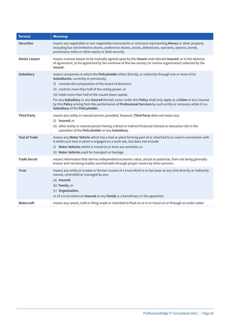| Term(s)              | <b>Meaning</b>                                                                                                                                                                                                                                                                                                                                                                                                                                                                                                                                                                                   |
|----------------------|--------------------------------------------------------------------------------------------------------------------------------------------------------------------------------------------------------------------------------------------------------------------------------------------------------------------------------------------------------------------------------------------------------------------------------------------------------------------------------------------------------------------------------------------------------------------------------------------------|
| <b>Securities</b>    | means any negotiable or non-negotiable instruments or contracts representing Money or other property<br>including but not limited to shares, preference shares, stocks, debentures, warrants, options, bonds,<br>promissory notes or other equity or debt security.                                                                                                                                                                                                                                                                                                                              |
| <b>Senior Lawyer</b> | means a senior lawyer to be mutually agreed upon by the Insurer and relevant Insured, or in the absence<br>of agreement, to be appointed by the nominee of the law society (or similar organisation) selected by the<br>Insurer.                                                                                                                                                                                                                                                                                                                                                                 |
| Subsidiary           | means companies in which the Policyholder either directly, or indirectly through one or more of its<br>Subsidiaries, currently or previously;<br>(i) controls the composition of the board of directors;<br>(ii) controls more than half of the voting power; or<br>(iii) holds more than half of the issued share capital.<br>For any Subsidiary or any Insured thereof, cover under this Policy shall only apply to a Claim or loss insured<br>by this Policy arising from the performance of Professional Services by such entity or company while it is a<br>Subsidiary of the Policyholder. |
| <b>Third Party</b>   | means any entity or natural person; provided, however, Third Party does not mean any:<br>(i) Insured; or<br>(ii) other entity or natural person having a direct or indirect financial interest or executive role in the<br>operation of the Policyholder or any Subsidiary.                                                                                                                                                                                                                                                                                                                      |
| <b>Tool of Trade</b> | means any Motor Vehicle which has a tool or plant forming part of or attached to or used in connection with<br>it while such tool or plant is engaged on a work site, but does not include:<br>(i) Motor Vehicles whilst in transit to or from any worksite; or<br>(ii) Motor Vehicles used for transport or haulage.                                                                                                                                                                                                                                                                            |
| <b>Trade Secret</b>  | means information that derives independent economic value, actual or potential, from not being generally<br>known and not being readily ascertainable through proper means by other persons.                                                                                                                                                                                                                                                                                                                                                                                                     |
| <b>Trust</b>         | means any entity or trustee or former trustee of a trust which is or has been at any time directly or indirectly<br>owned, controlled or managed by any:<br>(a) Insured;<br>(b) Family; or<br>(c) Organisation,<br>or of a trust where an Insured or any Family is a beneficiary or the appointor.                                                                                                                                                                                                                                                                                               |
| Watercraft           | means any vessel, craft or thing made or intended to float on or in or travel on or through or under water.                                                                                                                                                                                                                                                                                                                                                                                                                                                                                      |